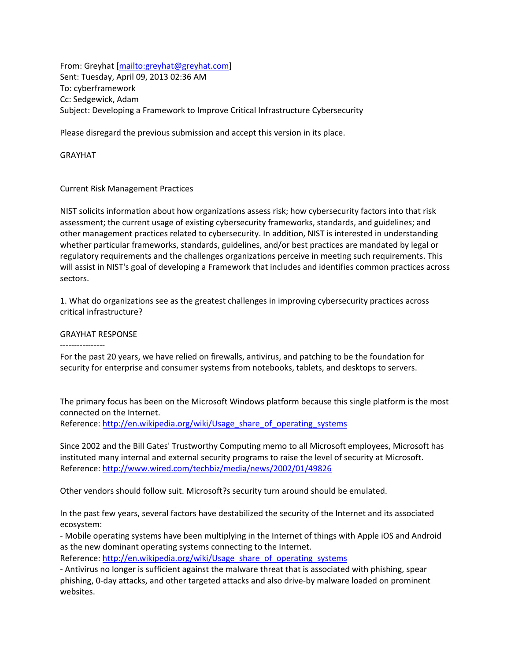From: Greyhat [\[mailto:greyhat@greyhat.com\]](mailto:greyhat@greyhat.com) Sent: Tuesday, April 09, 2013 02:36 AM To: cyberframework Cc: Sedgewick, Adam Subject: Developing a Framework to Improve Critical Infrastructure Cybersecurity

Please disregard the previous submission and accept this version in its place.

GRAYHAT

Current Risk Management Practices

NIST solicits information about how organizations assess risk; how cybersecurity factors into that risk assessment; the current usage of existing cybersecurity frameworks, standards, and guidelines; and other management practices related to cybersecurity. In addition, NIST is interested in understanding whether particular frameworks, standards, guidelines, and/or best practices are mandated by legal or regulatory requirements and the challenges organizations perceive in meeting such requirements. This will assist in NIST's goal of developing a Framework that includes and identifies common practices across sectors.

1. What do organizations see as the greatest challenges in improving cybersecurity practices across critical infrastructure?

# GRAYHAT RESPONSE

----------------

For the past 20 years, we have relied on firewalls, antivirus, and patching to be the foundation for security for enterprise and consumer systems from notebooks, tablets, and desktops to servers.

The primary focus has been on the Microsoft Windows platform because this single platform is the most connected on the Internet. Reference: [http://en.wikipedia.org/wiki/Usage\\_share\\_of\\_operating\\_systems](http://en.wikipedia.org/wiki/Usage_share_of_operating_systems)

Since 2002 and the Bill Gates' Trustworthy Computing memo to all Microsoft employees, Microsoft has instituted many internal and external security programs to raise the level of security at Microsoft. Reference:<http://www.wired.com/techbiz/media/news/2002/01/49826>

Other vendors should follow suit. Microsoft?s security turn around should be emulated.

In the past few years, several factors have destabilized the security of the Internet and its associated ecosystem:

- Mobile operating systems have been multiplying in the Internet of things with Apple iOS and Android as the new dominant operating systems connecting to the Internet.

Reference: [http://en.wikipedia.org/wiki/Usage\\_share\\_of\\_operating\\_systems](http://en.wikipedia.org/wiki/Usage_share_of_operating_systems)

- Antivirus no longer is sufficient against the malware threat that is associated with phishing, spear phishing, 0-day attacks, and other targeted attacks and also drive-by malware loaded on prominent websites.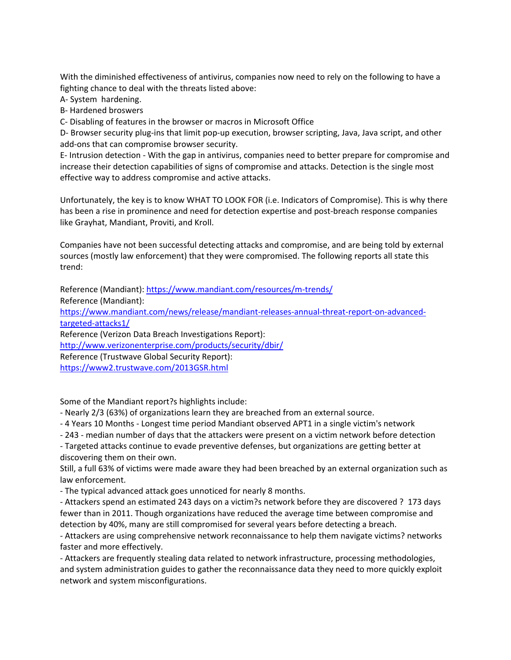With the diminished effectiveness of antivirus, companies now need to rely on the following to have a fighting chance to deal with the threats listed above:

A- System hardening.

B- Hardened broswers

C- Disabling of features in the browser or macros in Microsoft Office

D- Browser security plug-ins that limit pop-up execution, browser scripting, Java, Java script, and other add-ons that can compromise browser security.

E- Intrusion detection - With the gap in antivirus, companies need to better prepare for compromise and increase their detection capabilities of signs of compromise and attacks. Detection is the single most effective way to address compromise and active attacks.

Unfortunately, the key is to know WHAT TO LOOK FOR (i.e. Indicators of Compromise). This is why there has been a rise in prominence and need for detection expertise and post-breach response companies like Grayhat, Mandiant, Proviti, and Kroll.

Companies have not been successful detecting attacks and compromise, and are being told by external sources (mostly law enforcement) that they were compromised. The following reports all state this trend:

Reference (Mandiant)[: https://www.mandiant.com/resources/m-trends/](https://www.mandiant.com/resources/m-trends/)

Reference (Mandiant):

[https://www.mandiant.com/news/release/mandiant-releases-annual-threat-report-on-advanced](https://www.mandiant.com/news/release/mandiant-releases-annual-threat-report-on-advanced-targeted-attacks1/)[targeted-attacks1/](https://www.mandiant.com/news/release/mandiant-releases-annual-threat-report-on-advanced-targeted-attacks1/)

Reference (Verizon Data Breach Investigations Report):

<http://www.verizonenterprise.com/products/security/dbir/>

Reference (Trustwave Global Security Report):

<https://www2.trustwave.com/2013GSR.html>

Some of the Mandiant report?s highlights include:

- Nearly 2/3 (63%) of organizations learn they are breached from an external source.

- 4 Years 10 Months - Longest time period Mandiant observed APT1 in a single victim's network

- 243 - median number of days that the attackers were present on a victim network before detection

- Targeted attacks continue to evade preventive defenses, but organizations are getting better at discovering them on their own.

Still, a full 63% of victims were made aware they had been breached by an external organization such as law enforcement.

- The typical advanced attack goes unnoticed for nearly 8 months.

- Attackers spend an estimated 243 days on a victim?s network before they are discovered ? 173 days fewer than in 2011. Though organizations have reduced the average time between compromise and detection by 40%, many are still compromised for several years before detecting a breach.

- Attackers are using comprehensive network reconnaissance to help them navigate victims? networks faster and more effectively.

- Attackers are frequently stealing data related to network infrastructure, processing methodologies, and system administration guides to gather the reconnaissance data they need to more quickly exploit network and system misconfigurations.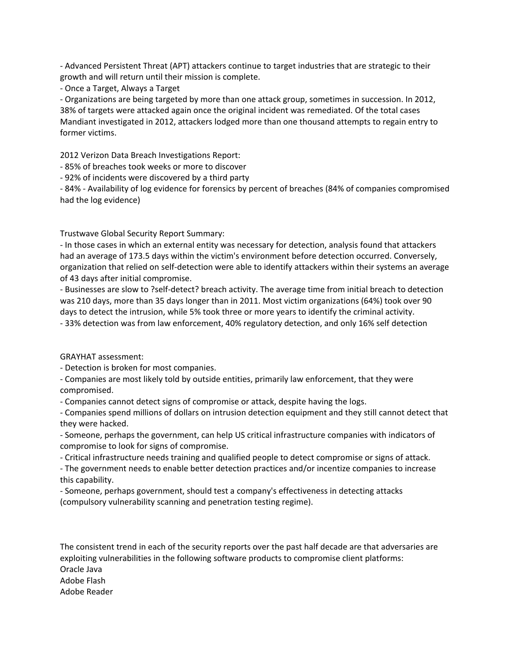- Advanced Persistent Threat (APT) attackers continue to target industries that are strategic to their growth and will return until their mission is complete.

- Once a Target, Always a Target

- Organizations are being targeted by more than one attack group, sometimes in succession. In 2012, 38% of targets were attacked again once the original incident was remediated. Of the total cases Mandiant investigated in 2012, attackers lodged more than one thousand attempts to regain entry to former victims.

2012 Verizon Data Breach Investigations Report:

- 85% of breaches took weeks or more to discover

- 92% of incidents were discovered by a third party

- 84% - Availability of log evidence for forensics by percent of breaches (84% of companies compromised had the log evidence)

Trustwave Global Security Report Summary:

- In those cases in which an external entity was necessary for detection, analysis found that attackers had an average of 173.5 days within the victim's environment before detection occurred. Conversely, organization that relied on self-detection were able to identify attackers within their systems an average of 43 days after initial compromise.

- Businesses are slow to ?self-detect? breach activity. The average time from initial breach to detection was 210 days, more than 35 days longer than in 2011. Most victim organizations (64%) took over 90 days to detect the intrusion, while 5% took three or more years to identify the criminal activity. - 33% detection was from law enforcement, 40% regulatory detection, and only 16% self detection

GRAYHAT assessment:

- Detection is broken for most companies.

- Companies are most likely told by outside entities, primarily law enforcement, that they were compromised.

- Companies cannot detect signs of compromise or attack, despite having the logs.

- Companies spend millions of dollars on intrusion detection equipment and they still cannot detect that they were hacked.

- Someone, perhaps the government, can help US critical infrastructure companies with indicators of compromise to look for signs of compromise.

- Critical infrastructure needs training and qualified people to detect compromise or signs of attack.

- The government needs to enable better detection practices and/or incentize companies to increase this capability.

- Someone, perhaps government, should test a company's effectiveness in detecting attacks (compulsory vulnerability scanning and penetration testing regime).

The consistent trend in each of the security reports over the past half decade are that adversaries are exploiting vulnerabilities in the following software products to compromise client platforms: Oracle Java Adobe Flash Adobe Reader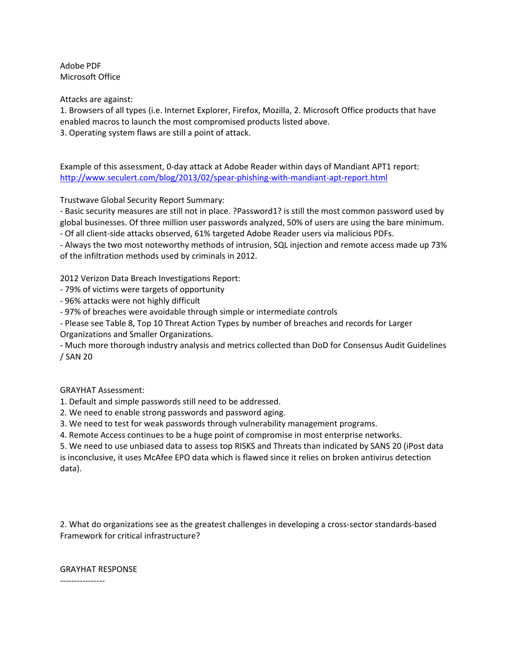Adobe PDF Microsoft Office

Attacks are against:

1. Browsers of all types (i.e. Internet Explorer, Firefox, Mozilla, 2. Microsoft Office products that have enabled macros to launch the most compromised products listed above.

3. Operating system flaws are still a point of attack.

Example of this assessment, 0-day attack at Adobe Reader within days of Mandiant APT1 report: <http://www.seculert.com/blog/2013/02/spear-phishing-with-mandiant-apt-report.html>

Trustwave Global Security Report Summary:

- Basic security measures are still not in place. ?Password1? is still the most common password used by global businesses. Of three million user passwords analyzed, 50% of users are using the bare minimum.

- Of all client-side attacks observed, 61% targeted Adobe Reader users via malicious PDFs.

- Always the two most noteworthy methods of intrusion, SQL injection and remote access made up 73% of the infiltration methods used by criminals in 2012.

2012 Verizon Data Breach Investigations Report:

- 79% of victims were targets of opportunity
- 96% attacks were not highly difficult

- 97% of breaches were avoidable through simple or intermediate controls

- Please see Table 8, Top 10 Threat Action Types by number of breaches and records for Larger Organizations and Smaller Organizations.

- Much more thorough industry analysis and metrics collected than DoD for Consensus Audit Guidelines / SAN 20

GRAYHAT Assessment:

1. Default and simple passwords still need to be addressed.

2. We need to enable strong passwords and password aging.

3. We need to test for weak passwords through vulnerability management programs.

4. Remote Access continues to be a huge point of compromise in most enterprise networks.

5. We need to use unbiased data to assess top RISKS and Threats than indicated by SANS 20 (iPost data is inconclusive, it uses McAfee EPO data which is flawed since it relies on broken antivirus detection data).

2. What do organizations see as the greatest challenges in developing a cross-sector standards-based Framework for critical infrastructure?

GRAYHAT RESPONSE

----------------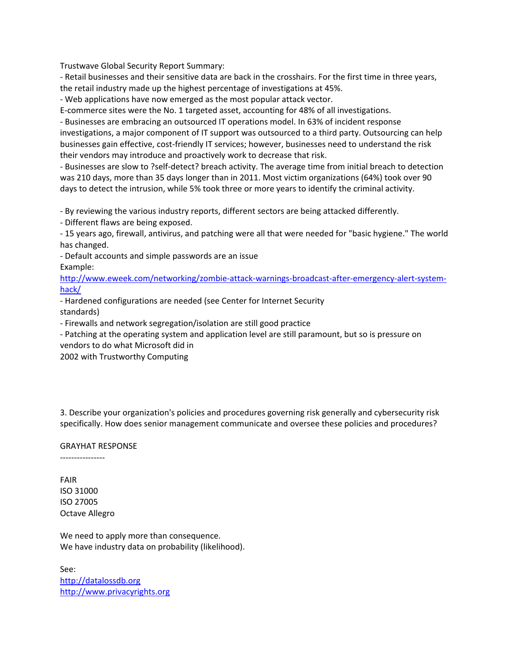Trustwave Global Security Report Summary:

- Retail businesses and their sensitive data are back in the crosshairs. For the first time in three years, the retail industry made up the highest percentage of investigations at 45%.

- Web applications have now emerged as the most popular attack vector.

E-commerce sites were the No. 1 targeted asset, accounting for 48% of all investigations.

- Businesses are embracing an outsourced IT operations model. In 63% of incident response investigations, a major component of IT support was outsourced to a third party. Outsourcing can help businesses gain effective, cost-friendly IT services; however, businesses need to understand the risk their vendors may introduce and proactively work to decrease that risk.

- Businesses are slow to ?self-detect? breach activity. The average time from initial breach to detection was 210 days, more than 35 days longer than in 2011. Most victim organizations (64%) took over 90 days to detect the intrusion, while 5% took three or more years to identify the criminal activity.

- By reviewing the various industry reports, different sectors are being attacked differently.

- Different flaws are being exposed.

- 15 years ago, firewall, antivirus, and patching were all that were needed for "basic hygiene." The world has changed.

- Default accounts and simple passwords are an issue Example:

[http://www.eweek.com/networking/zombie-attack-warnings-broadcast-after-emergency-alert-system](http://www.eweek.com/networking/zombie-attack-warnings-broadcast-after-emergency-alert-system-hack/)[hack/](http://www.eweek.com/networking/zombie-attack-warnings-broadcast-after-emergency-alert-system-hack/)

- Hardened configurations are needed (see Center for Internet Security standards)

- Firewalls and network segregation/isolation are still good practice

- Patching at the operating system and application level are still paramount, but so is pressure on vendors to do what Microsoft did in

2002 with Trustworthy Computing

3. Describe your organization's policies and procedures governing risk generally and cybersecurity risk specifically. How does senior management communicate and oversee these policies and procedures?

GRAYHAT RESPONSE

----------------

FAIR ISO 31000 ISO 27005 Octave Allegro

We need to apply more than consequence. We have industry data on probability (likelihood).

See: [http://datalossdb.org](http://datalossdb.org/) [http://www.privacyrights.org](http://www.privacyrights.org/)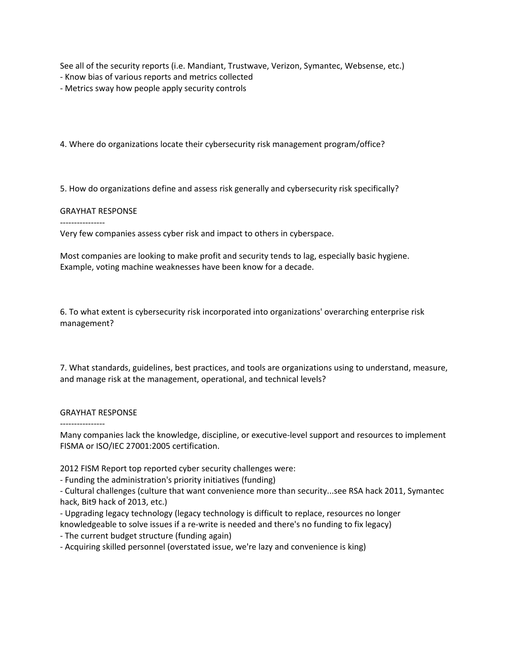See all of the security reports (i.e. Mandiant, Trustwave, Verizon, Symantec, Websense, etc.)

- Know bias of various reports and metrics collected
- Metrics sway how people apply security controls

4. Where do organizations locate their cybersecurity risk management program/office?

5. How do organizations define and assess risk generally and cybersecurity risk specifically?

## GRAYHAT RESPONSE

----------------

Very few companies assess cyber risk and impact to others in cyberspace.

Most companies are looking to make profit and security tends to lag, especially basic hygiene. Example, voting machine weaknesses have been know for a decade.

6. To what extent is cybersecurity risk incorporated into organizations' overarching enterprise risk management?

7. What standards, guidelines, best practices, and tools are organizations using to understand, measure, and manage risk at the management, operational, and technical levels?

## GRAYHAT RESPONSE

----------------

Many companies lack the knowledge, discipline, or executive-level support and resources to implement FISMA or ISO/IEC 27001:2005 certification.

2012 FISM Report top reported cyber security challenges were:

- Funding the administration's priority initiatives (funding)

- Cultural challenges (culture that want convenience more than security...see RSA hack 2011, Symantec hack, Bit9 hack of 2013, etc.)

- Upgrading legacy technology (legacy technology is difficult to replace, resources no longer

knowledgeable to solve issues if a re-write is needed and there's no funding to fix legacy)

- The current budget structure (funding again)

- Acquiring skilled personnel (overstated issue, we're lazy and convenience is king)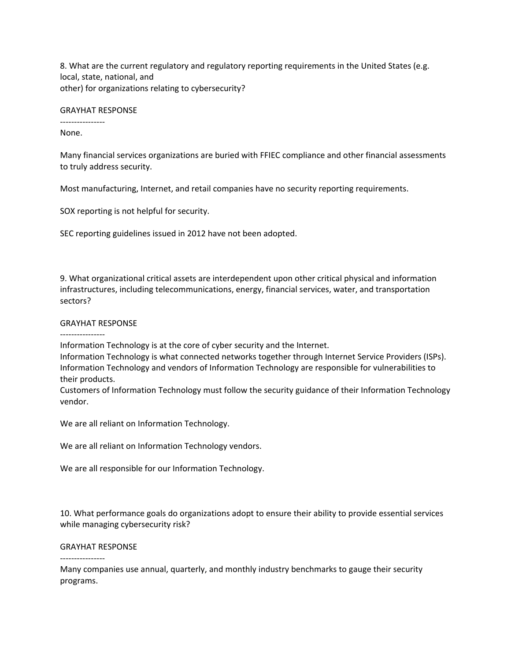8. What are the current regulatory and regulatory reporting requirements in the United States (e.g. local, state, national, and other) for organizations relating to cybersecurity?

### GRAYHAT RESPONSE

---------------- None.

Many financial services organizations are buried with FFIEC compliance and other financial assessments to truly address security.

Most manufacturing, Internet, and retail companies have no security reporting requirements.

SOX reporting is not helpful for security.

SEC reporting guidelines issued in 2012 have not been adopted.

9. What organizational critical assets are interdependent upon other critical physical and information infrastructures, including telecommunications, energy, financial services, water, and transportation sectors?

## GRAYHAT RESPONSE

----------------

Information Technology is at the core of cyber security and the Internet.

Information Technology is what connected networks together through Internet Service Providers (ISPs). Information Technology and vendors of Information Technology are responsible for vulnerabilities to their products.

Customers of Information Technology must follow the security guidance of their Information Technology vendor.

We are all reliant on Information Technology.

We are all reliant on Information Technology vendors.

We are all responsible for our Information Technology.

10. What performance goals do organizations adopt to ensure their ability to provide essential services while managing cybersecurity risk?

## GRAYHAT RESPONSE

----------------

Many companies use annual, quarterly, and monthly industry benchmarks to gauge their security programs.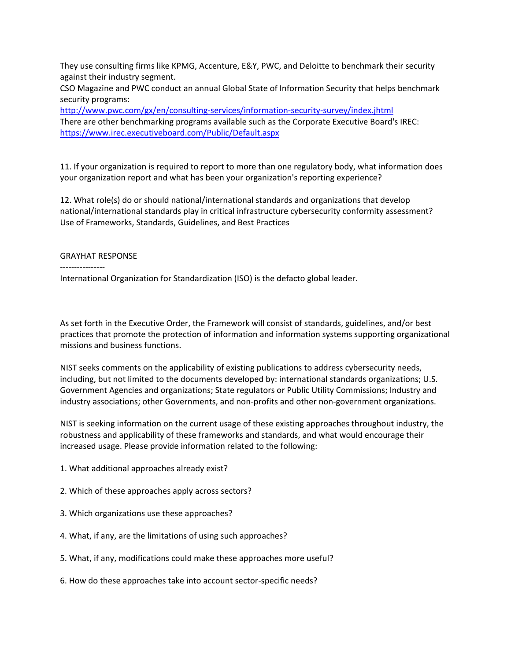They use consulting firms like KPMG, Accenture, E&Y, PWC, and Deloitte to benchmark their security against their industry segment.

CSO Magazine and PWC conduct an annual Global State of Information Security that helps benchmark security programs:

<http://www.pwc.com/gx/en/consulting-services/information-security-survey/index.jhtml> There are other benchmarking programs available such as the Corporate Executive Board's IREC: <https://www.irec.executiveboard.com/Public/Default.aspx>

11. If your organization is required to report to more than one regulatory body, what information does your organization report and what has been your organization's reporting experience?

12. What role(s) do or should national/international standards and organizations that develop national/international standards play in critical infrastructure cybersecurity conformity assessment? Use of Frameworks, Standards, Guidelines, and Best Practices

# GRAYHAT RESPONSE

----------------

International Organization for Standardization (ISO) is the defacto global leader.

As set forth in the Executive Order, the Framework will consist of standards, guidelines, and/or best practices that promote the protection of information and information systems supporting organizational missions and business functions.

NIST seeks comments on the applicability of existing publications to address cybersecurity needs, including, but not limited to the documents developed by: international standards organizations; U.S. Government Agencies and organizations; State regulators or Public Utility Commissions; Industry and industry associations; other Governments, and non-profits and other non-government organizations.

NIST is seeking information on the current usage of these existing approaches throughout industry, the robustness and applicability of these frameworks and standards, and what would encourage their increased usage. Please provide information related to the following:

- 1. What additional approaches already exist?
- 2. Which of these approaches apply across sectors?
- 3. Which organizations use these approaches?
- 4. What, if any, are the limitations of using such approaches?
- 5. What, if any, modifications could make these approaches more useful?
- 6. How do these approaches take into account sector-specific needs?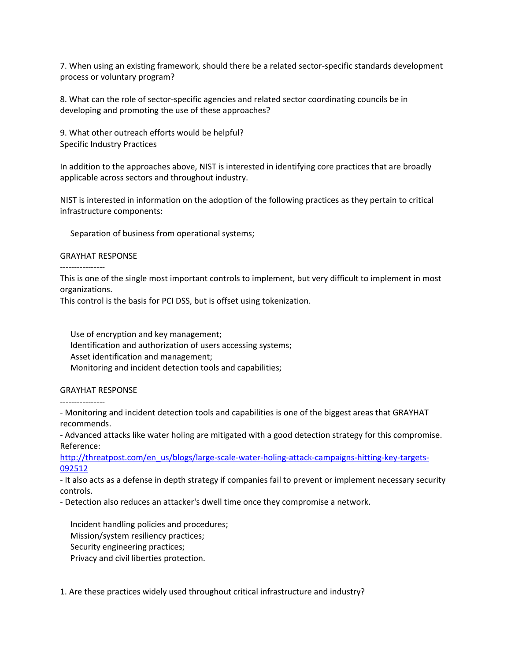7. When using an existing framework, should there be a related sector-specific standards development process or voluntary program?

8. What can the role of sector-specific agencies and related sector coordinating councils be in developing and promoting the use of these approaches?

9. What other outreach efforts would be helpful? Specific Industry Practices

In addition to the approaches above, NIST is interested in identifying core practices that are broadly applicable across sectors and throughout industry.

NIST is interested in information on the adoption of the following practices as they pertain to critical infrastructure components:

Separation of business from operational systems;

## GRAYHAT RESPONSE

----------------

This is one of the single most important controls to implement, but very difficult to implement in most organizations.

This control is the basis for PCI DSS, but is offset using tokenization.

 Use of encryption and key management; Identification and authorization of users accessing systems; Asset identification and management; Monitoring and incident detection tools and capabilities;

# GRAYHAT RESPONSE

----------------

- Monitoring and incident detection tools and capabilities is one of the biggest areas that GRAYHAT recommends.

- Advanced attacks like water holing are mitigated with a good detection strategy for this compromise. Reference:

[http://threatpost.com/en\\_us/blogs/large-scale-water-holing-attack-campaigns-hitting-key-targets-](http://threatpost.com/en_us/blogs/large-scale-water-holing-attack-campaigns-hitting-key-targets-092512)[092512](http://threatpost.com/en_us/blogs/large-scale-water-holing-attack-campaigns-hitting-key-targets-092512)

- It also acts as a defense in depth strategy if companies fail to prevent or implement necessary security controls.

- Detection also reduces an attacker's dwell time once they compromise a network.

 Incident handling policies and procedures; Mission/system resiliency practices; Security engineering practices; Privacy and civil liberties protection.

1. Are these practices widely used throughout critical infrastructure and industry?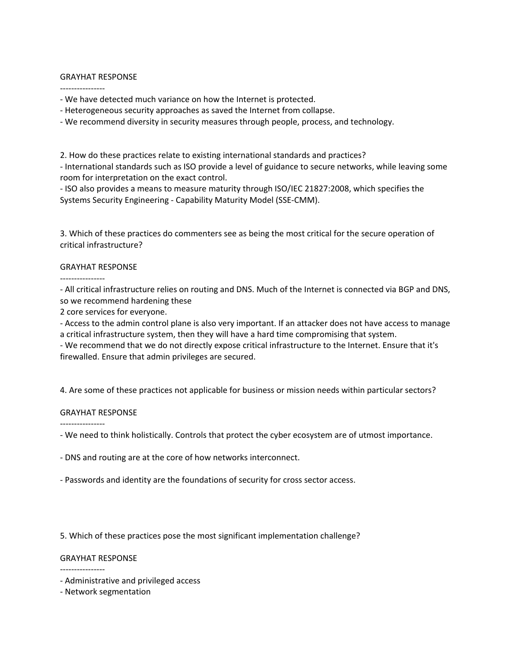## GRAYHAT RESPONSE

----------------

- We have detected much variance on how the Internet is protected.

- Heterogeneous security approaches as saved the Internet from collapse.

- We recommend diversity in security measures through people, process, and technology.

2. How do these practices relate to existing international standards and practices? - International standards such as ISO provide a level of guidance to secure networks, while leaving some room for interpretation on the exact control.

- ISO also provides a means to measure maturity through ISO/IEC 21827:2008, which specifies the Systems Security Engineering - Capability Maturity Model (SSE-CMM).

3. Which of these practices do commenters see as being the most critical for the secure operation of critical infrastructure?

# GRAYHAT RESPONSE

----------------

- All critical infrastructure relies on routing and DNS. Much of the Internet is connected via BGP and DNS, so we recommend hardening these

2 core services for everyone.

- Access to the admin control plane is also very important. If an attacker does not have access to manage a critical infrastructure system, then they will have a hard time compromising that system.

- We recommend that we do not directly expose critical infrastructure to the Internet. Ensure that it's firewalled. Ensure that admin privileges are secured.

4. Are some of these practices not applicable for business or mission needs within particular sectors?

# GRAYHAT RESPONSE

----------------

- We need to think holistically. Controls that protect the cyber ecosystem are of utmost importance.

- DNS and routing are at the core of how networks interconnect.

- Passwords and identity are the foundations of security for cross sector access.

5. Which of these practices pose the most significant implementation challenge?

# GRAYHAT RESPONSE

----------------

- Administrative and privileged access

- Network segmentation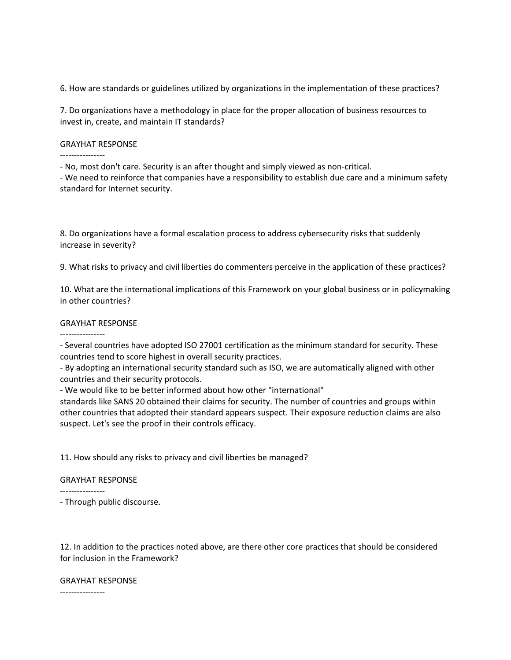6. How are standards or guidelines utilized by organizations in the implementation of these practices?

7. Do organizations have a methodology in place for the proper allocation of business resources to invest in, create, and maintain IT standards?

### GRAYHAT RESPONSE

- No, most don't care. Security is an after thought and simply viewed as non-critical.

- We need to reinforce that companies have a responsibility to establish due care and a minimum safety standard for Internet security.

8. Do organizations have a formal escalation process to address cybersecurity risks that suddenly increase in severity?

9. What risks to privacy and civil liberties do commenters perceive in the application of these practices?

10. What are the international implications of this Framework on your global business or in policymaking in other countries?

### GRAYHAT RESPONSE

----------------

- Several countries have adopted ISO 27001 certification as the minimum standard for security. These countries tend to score highest in overall security practices.

- By adopting an international security standard such as ISO, we are automatically aligned with other countries and their security protocols.

- We would like to be better informed about how other "international"

standards like SANS 20 obtained their claims for security. The number of countries and groups within other countries that adopted their standard appears suspect. Their exposure reduction claims are also suspect. Let's see the proof in their controls efficacy.

11. How should any risks to privacy and civil liberties be managed?

#### GRAYHAT RESPONSE

----------------

- Through public discourse.

12. In addition to the practices noted above, are there other core practices that should be considered for inclusion in the Framework?

### GRAYHAT RESPONSE

----------------